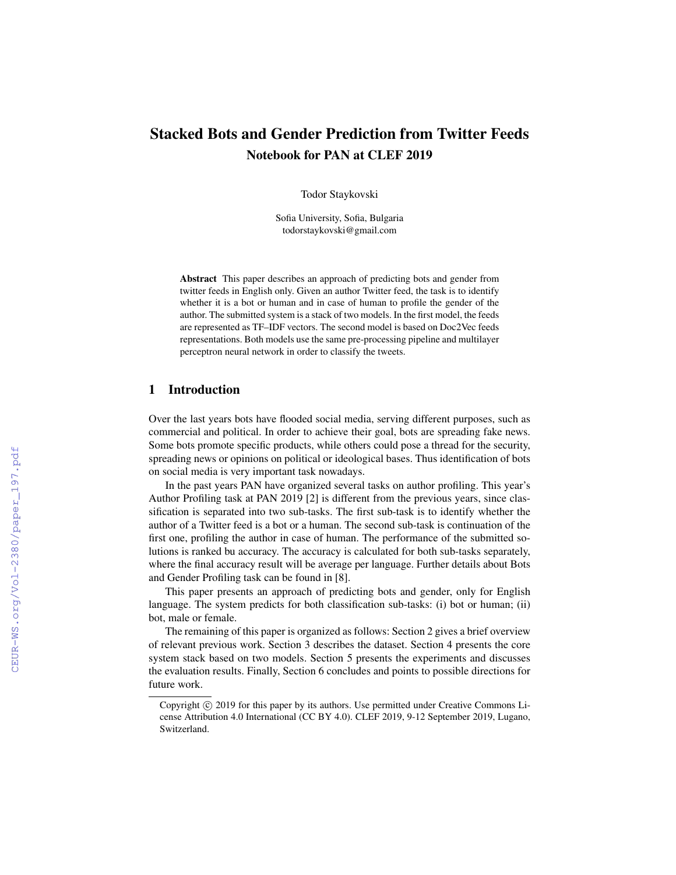# Stacked Bots and Gender Prediction from Twitter Feeds Notebook for PAN at CLEF 2019

Todor Staykovski

Sofia University, Sofia, Bulgaria todorstaykovski@gmail.com

Abstract This paper describes an approach of predicting bots and gender from twitter feeds in English only. Given an author Twitter feed, the task is to identify whether it is a bot or human and in case of human to profile the gender of the author. The submitted system is a stack of two models. In the first model, the feeds are represented as TF–IDF vectors. The second model is based on Doc2Vec feeds representations. Both models use the same pre-processing pipeline and multilayer perceptron neural network in order to classify the tweets.

# 1 Introduction

Over the last years bots have flooded social media, serving different purposes, such as commercial and political. In order to achieve their goal, bots are spreading fake news. Some bots promote specific products, while others could pose a thread for the security, spreading news or opinions on political or ideological bases. Thus identification of bots on social media is very important task nowadays.

In the past years PAN have organized several tasks on author profiling. This year's Author Profiling task at PAN 2019 [2] is different from the previous years, since classification is separated into two sub-tasks. The first sub-task is to identify whether the author of a Twitter feed is a bot or a human. The second sub-task is continuation of the first one, profiling the author in case of human. The performance of the submitted solutions is ranked bu accuracy. The accuracy is calculated for both sub-tasks separately, where the final accuracy result will be average per language. Further details about Bots and Gender Profiling task can be found in [8].

This paper presents an approach of predicting bots and gender, only for English language. The system predicts for both classification sub-tasks: (i) bot or human; (ii) bot, male or female.

The remaining of this paper is organized as follows: Section 2 gives a brief overview of relevant previous work. Section 3 describes the dataset. Section 4 presents the core system stack based on two models. Section 5 presents the experiments and discusses the evaluation results. Finally, Section 6 concludes and points to possible directions for future work.

Copyright  $\odot$  2019 for this paper by its authors. Use permitted under Creative Commons License Attribution 4.0 International (CC BY 4.0). CLEF 2019, 9-12 September 2019, Lugano, Switzerland.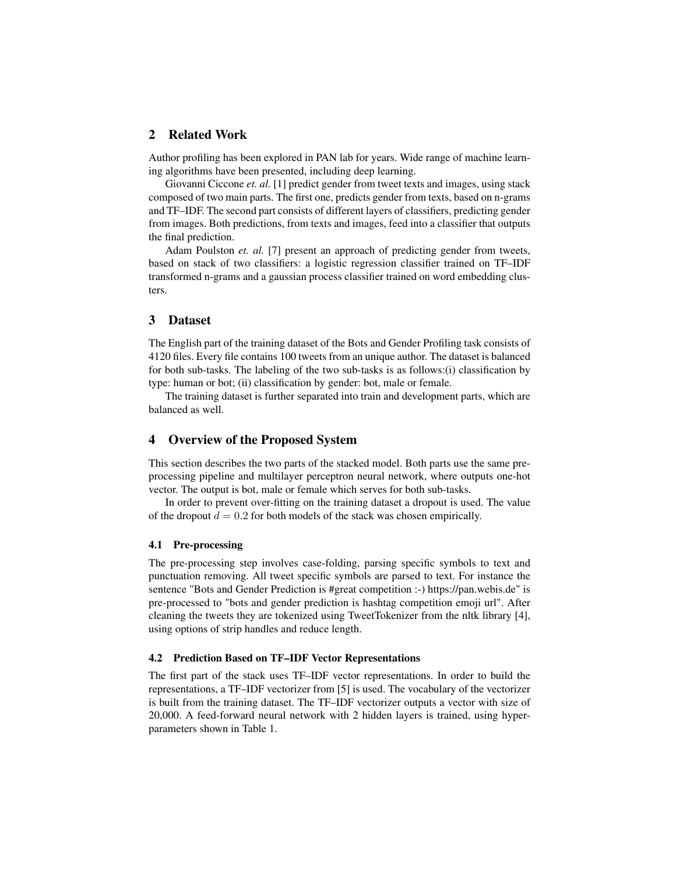# 2 Related Work

Author profiling has been explored in PAN lab for years. Wide range of machine learning algorithms have been presented, including deep learning.

Giovanni Ciccone *et. al.* [1] predict gender from tweet texts and images, using stack composed of two main parts. The first one, predicts gender from texts, based on n-grams and TF–IDF. The second part consists of different layers of classifiers, predicting gender from images. Both predictions, from texts and images, feed into a classifier that outputs the final prediction.

Adam Poulston *et. al.* [7] present an approach of predicting gender from tweets, based on stack of two classifiers: a logistic regression classifier trained on TF–IDF transformed n-grams and a gaussian process classifier trained on word embedding clusters.

### 3 Dataset

The English part of the training dataset of the Bots and Gender Profiling task consists of 4120 files. Every file contains 100 tweets from an unique author. The dataset is balanced for both sub-tasks. The labeling of the two sub-tasks is as follows:(i) classification by type: human or bot; (ii) classification by gender: bot, male or female.

The training dataset is further separated into train and development parts, which are balanced as well.

### 4 Overview of the Proposed System

This section describes the two parts of the stacked model. Both parts use the same preprocessing pipeline and multilayer perceptron neural network, where outputs one-hot vector. The output is bot, male or female which serves for both sub-tasks.

In order to prevent over-fitting on the training dataset a dropout is used. The value of the dropout  $d = 0.2$  for both models of the stack was chosen empirically.

#### 4.1 Pre-processing

The pre-processing step involves case-folding, parsing specific symbols to text and punctuation removing. All tweet specific symbols are parsed to text. For instance the sentence "Bots and Gender Prediction is #great competition :-) https://pan.webis.de" is pre-processed to "bots and gender prediction is hashtag competition emoji url". After cleaning the tweets they are tokenized using TweetTokenizer from the nltk library [4], using options of strip handles and reduce length.

#### 4.2 Prediction Based on TF–IDF Vector Representations

The first part of the stack uses TF–IDF vector representations. In order to build the representations, a TF–IDF vectorizer from [5] is used. The vocabulary of the vectorizer is built from the training dataset. The TF–IDF vectorizer outputs a vector with size of 20,000. A feed-forward neural network with 2 hidden layers is trained, using hyperparameters shown in Table 1.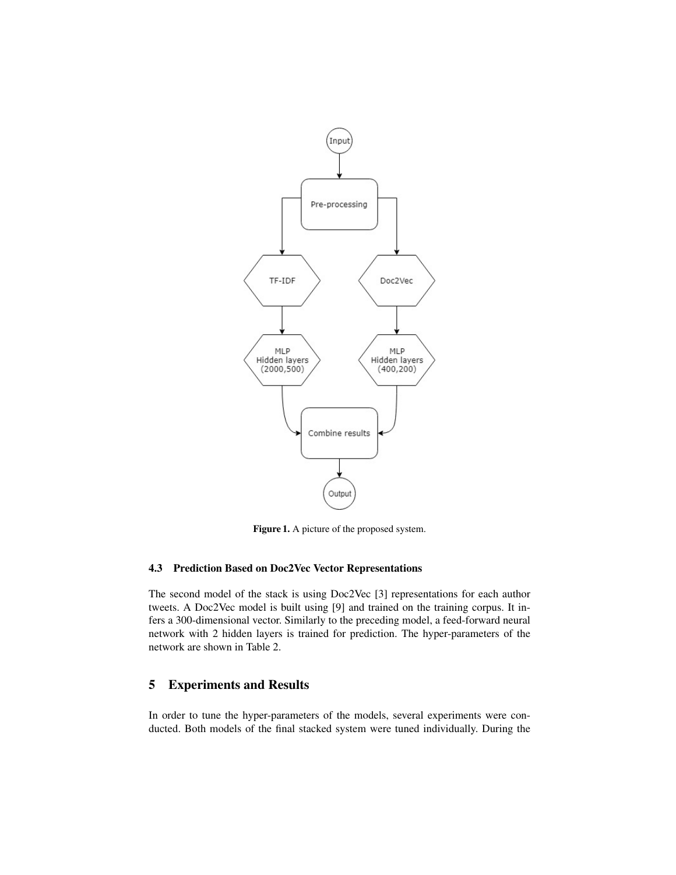

Figure 1. A picture of the proposed system.

### 4.3 Prediction Based on Doc2Vec Vector Representations

The second model of the stack is using Doc2Vec [3] representations for each author tweets. A Doc2Vec model is built using [9] and trained on the training corpus. It infers a 300-dimensional vector. Similarly to the preceding model, a feed-forward neural network with 2 hidden layers is trained for prediction. The hyper-parameters of the network are shown in Table 2.

# 5 Experiments and Results

In order to tune the hyper-parameters of the models, several experiments were conducted. Both models of the final stacked system were tuned individually. During the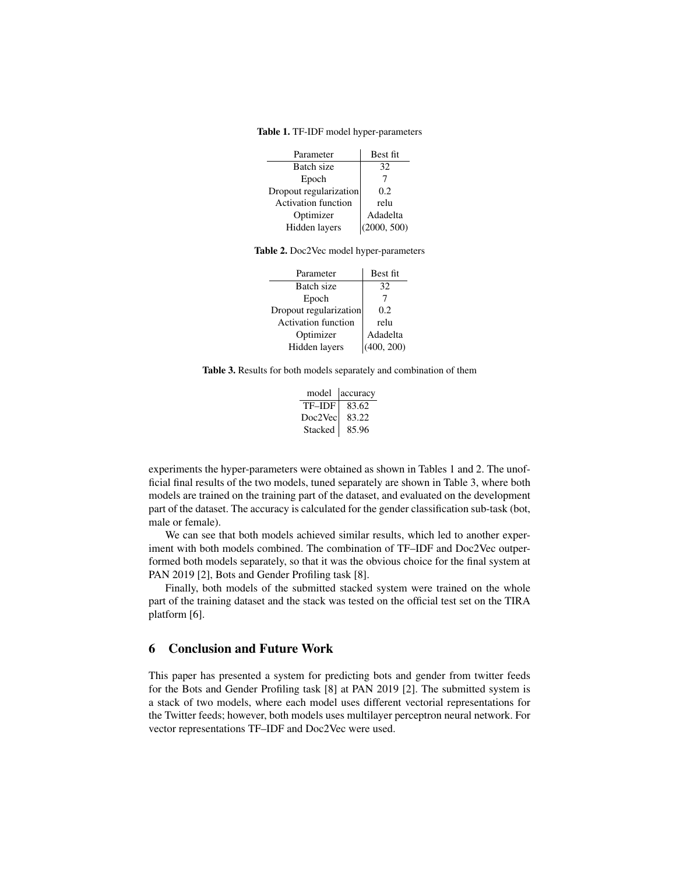Table 1. TF-IDF model hyper-parameters

| Parameter                  | Best fit    |
|----------------------------|-------------|
| Batch size                 | 32          |
| Epoch                      |             |
| Dropout regularization     | 0.2         |
| <b>Activation function</b> | relu        |
| Optimizer                  | Adadelta    |
| Hidden layers              | (2000, 500) |

Table 2. Doc2Vec model hyper-parameters

| Parameter                  | Best fit   |
|----------------------------|------------|
| Batch size                 | 32         |
| Epoch                      |            |
| Dropout regularization     | 0.2        |
| <b>Activation function</b> | relu       |
| Optimizer                  | Adadelta   |
| Hidden layers              | (400, 200) |

Table 3. Results for both models separately and combination of them

| model   | accuracy |
|---------|----------|
| TF-IDF  | 83.62    |
| Doc2Vec | 83.22    |
| Stacked | 85.96    |

experiments the hyper-parameters were obtained as shown in Tables 1 and 2. The unofficial final results of the two models, tuned separately are shown in Table 3, where both models are trained on the training part of the dataset, and evaluated on the development part of the dataset. The accuracy is calculated for the gender classification sub-task (bot, male or female).

We can see that both models achieved similar results, which led to another experiment with both models combined. The combination of TF–IDF and Doc2Vec outperformed both models separately, so that it was the obvious choice for the final system at PAN 2019 [2], Bots and Gender Profiling task [8].

Finally, both models of the submitted stacked system were trained on the whole part of the training dataset and the stack was tested on the official test set on the TIRA platform [6].

### 6 Conclusion and Future Work

This paper has presented a system for predicting bots and gender from twitter feeds for the Bots and Gender Profiling task [8] at PAN 2019 [2]. The submitted system is a stack of two models, where each model uses different vectorial representations for the Twitter feeds; however, both models uses multilayer perceptron neural network. For vector representations TF–IDF and Doc2Vec were used.